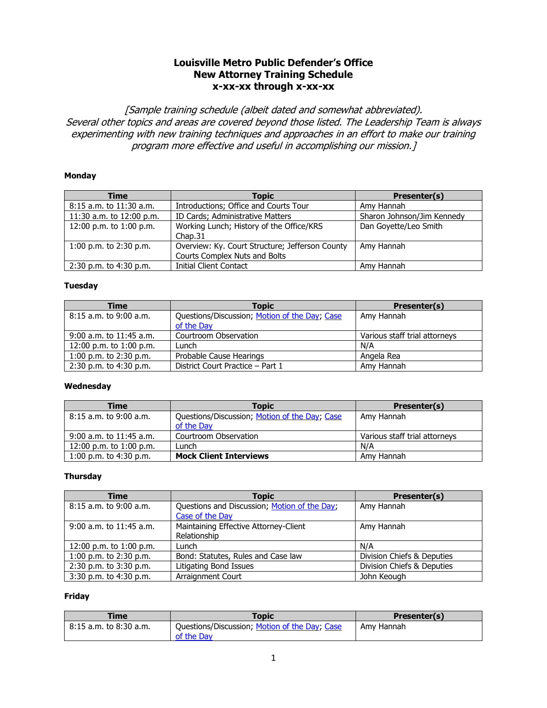### **Louisville Metro Public Defender's Office New Attorney Training Schedule x-xx-xx through x-xx-xx**

[Sample training schedule (albeit dated and somewhat abbreviated). Several other topics and areas are covered beyond those listed. The Leadership Team is always experimenting with new training techniques and approaches in an effort to make our training program more effective and useful in accomplishing our mission.]

#### **Monday**

| <b>Time</b>                 | <b>Topic</b>                                    | Presenter(s)               |
|-----------------------------|-------------------------------------------------|----------------------------|
| $8:15$ a.m. to $11:30$ a.m. | Introductions; Office and Courts Tour           | Amy Hannah                 |
| 11:30 a.m. to 12:00 p.m.    | ID Cards; Administrative Matters                | Sharon Johnson/Jim Kennedy |
| 12:00 p.m. to 1:00 p.m.     | Working Lunch; History of the Office/KRS        | Dan Goyette/Leo Smith      |
|                             | Chap.31                                         |                            |
| 1:00 p.m. to $2:30$ p.m.    | Overview: Ky. Court Structure; Jefferson County | Amy Hannah                 |
|                             | Courts Complex Nuts and Bolts                   |                            |
| 2:30 p.m. to 4:30 p.m.      | <b>Initial Client Contact</b>                   | Amy Hannah                 |

#### **Tuesday**

| <b>Time</b>               | <b>Topic</b>                                                | Presenter(s)                  |
|---------------------------|-------------------------------------------------------------|-------------------------------|
| $8:15$ a.m. to 9:00 a.m.  | Questions/Discussion; Motion of the Day; Case<br>of the Day | Amy Hannah                    |
| $9:00$ a.m. to 11:45 a.m. | Courtroom Observation                                       | Various staff trial attorneys |
| 12:00 p.m. to 1:00 p.m.   | Lunch                                                       | N/A                           |
| 1:00 p.m. to $2:30$ p.m.  | Probable Cause Hearings                                     | Angela Rea                    |
| $2:30$ p.m. to 4:30 p.m.  | District Court Practice - Part 1                            | Amy Hannah                    |

#### **Wednesday**

| Time                      | <b>Topic</b>                                  | Presenter(s)                  |
|---------------------------|-----------------------------------------------|-------------------------------|
| 8:15 a.m. to 9:00 a.m.    | Questions/Discussion; Motion of the Day; Case | Amy Hannah                    |
|                           | of the Day                                    |                               |
| $9:00$ a.m. to 11:45 a.m. | Courtroom Observation                         | Various staff trial attorneys |
| 12:00 p.m. to 1:00 p.m.   | _unch                                         | N/A                           |
| 1:00 p.m. to $4:30$ p.m.  | <b>Mock Client Interviews</b>                 | Amy Hannah                    |

#### **Thursday**

| Time                        | <b>Topic</b>                                 | Presenter(s)               |
|-----------------------------|----------------------------------------------|----------------------------|
| $8:15$ a.m. to $9:00$ a.m.  | Questions and Discussion; Motion of the Day; | Amy Hannah                 |
|                             | Case of the Day                              |                            |
| $9:00$ a.m. to $11:45$ a.m. | Maintaining Effective Attorney-Client        | Amy Hannah                 |
|                             | Relationship                                 |                            |
| 12:00 p.m. to 1:00 p.m.     | Lunch                                        | N/A                        |
| 1:00 p.m. to 2:30 p.m.      | Bond: Statutes, Rules and Case law           | Division Chiefs & Deputies |
| 2:30 p.m. to 3:30 p.m.      | Litigating Bond Issues                       | Division Chiefs & Deputies |
| 3:30 p.m. to 4:30 p.m.      | Arraignment Court                            | John Keough                |

| Time                       | Topic                                         | Presenter(s) |
|----------------------------|-----------------------------------------------|--------------|
| $8:15$ a.m. to $8:30$ a.m. | Questions/Discussion; Motion of the Day; Case | Amy Hannah   |
|                            | of the Day                                    |              |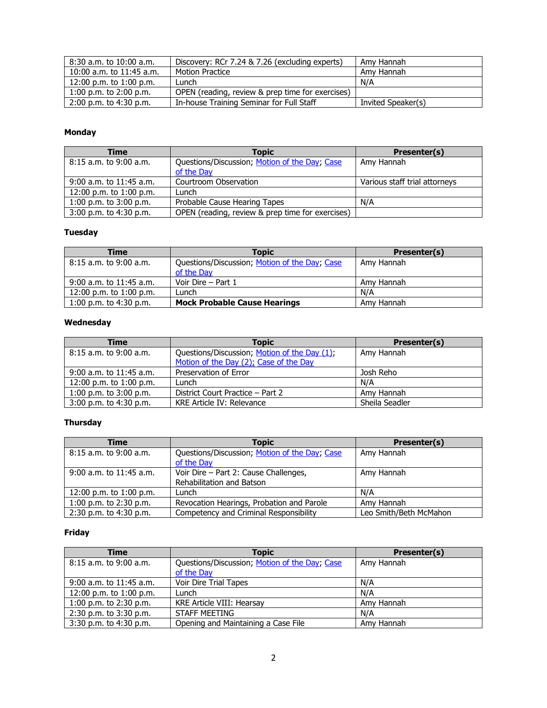| 8:30 a.m. to 10:00 a.m.      | Discovery: RCr 7.24 & 7.26 (excluding experts)   | Amv Hannah         |
|------------------------------|--------------------------------------------------|--------------------|
| $10:00$ a.m. to $11:45$ a.m. | <b>Motion Practice</b>                           | Amy Hannah         |
| 12:00 p.m. to 1:00 p.m.      | _unch                                            | N/A                |
| $1:00$ p.m. to $2:00$ p.m.   | OPEN (reading, review & prep time for exercises) |                    |
| $2:00$ p.m. to 4:30 p.m.     | In-house Training Seminar for Full Staff         | Invited Speaker(s) |

| Time                       | <b>Topic</b>                                                | Presenter(s)                  |
|----------------------------|-------------------------------------------------------------|-------------------------------|
| $8:15$ a.m. to $9:00$ a.m. | Questions/Discussion; Motion of the Day; Case<br>of the Day | Amy Hannah                    |
| $9:00$ a.m. to 11:45 a.m.  | Courtroom Observation                                       | Various staff trial attorneys |
| 12:00 p.m. to 1:00 p.m.    | Lunch                                                       |                               |
| 1:00 p.m. to $3:00$ p.m.   | Probable Cause Hearing Tapes                                | N/A                           |
| $3:00$ p.m. to $4:30$ p.m. | OPEN (reading, review & prep time for exercises)            |                               |

## **Tuesday**

| <b>Time</b>               | <b>Topic</b>                                  | Presenter(s) |
|---------------------------|-----------------------------------------------|--------------|
| $8:15$ a.m. to 9:00 a.m.  | Questions/Discussion; Motion of the Day; Case | Amy Hannah   |
|                           | of the Day                                    |              |
| $9:00$ a.m. to 11:45 a.m. | Voir Dire – Part 1                            | Amy Hannah   |
| 12:00 p.m. to 1:00 p.m.   | Lunch                                         | N/A          |
| 1:00 p.m. to $4:30$ p.m.  | <b>Mock Probable Cause Hearings</b>           | Amy Hannah   |

## **Wednesday**

| Time                        | <b>Topic</b>                                 | Presenter(s)   |
|-----------------------------|----------------------------------------------|----------------|
| $8:15$ a.m. to $9:00$ a.m.  | Questions/Discussion; Motion of the Day (1); | Amy Hannah     |
|                             | Motion of the Day (2); Case of the Day       |                |
| $9:00$ a.m. to $11:45$ a.m. | Preservation of Error                        | Josh Reho      |
| 12:00 p.m. to 1:00 p.m.     | Lunch                                        | N/A            |
| 1:00 p.m. to $3:00$ p.m.    | District Court Practice – Part 2             | Amy Hannah     |
| $3:00$ p.m. to 4:30 p.m.    | KRE Article IV: Relevance                    | Sheila Seadler |

### **Thursday**

| <b>Time</b>                 | <b>Topic</b>                                                | Presenter(s)           |
|-----------------------------|-------------------------------------------------------------|------------------------|
| $8:15$ a.m. to $9:00$ a.m.  | Questions/Discussion; Motion of the Day; Case<br>of the Day | Amy Hannah             |
|                             |                                                             |                        |
| $9:00$ a.m. to $11:45$ a.m. | Voir Dire - Part 2: Cause Challenges,                       | Amy Hannah             |
|                             | Rehabilitation and Batson                                   |                        |
| 12:00 p.m. to 1:00 p.m.     | Lunch                                                       | N/A                    |
| 1:00 p.m. to $2:30$ p.m.    | Revocation Hearings, Probation and Parole                   | Amy Hannah             |
| 2:30 p.m. to 4:30 p.m.      | Competency and Criminal Responsibility                      | Leo Smith/Beth McMahon |

| Time                        | Topic                                         | Presenter(s) |
|-----------------------------|-----------------------------------------------|--------------|
| $8:15$ a.m. to 9:00 a.m.    | Questions/Discussion; Motion of the Day; Case | Amy Hannah   |
|                             | of the Day                                    |              |
| $9:00$ a.m. to $11:45$ a.m. | Voir Dire Trial Tapes                         | N/A          |
| 12:00 p.m. to 1:00 p.m.     | Lunch                                         | N/A          |
| 1:00 p.m. to $2:30$ p.m.    | KRE Article VIII: Hearsay                     | Amy Hannah   |
| $2:30$ p.m. to $3:30$ p.m.  | STAFF MEETING                                 | N/A          |
| 3:30 p.m. to 4:30 p.m.      | Opening and Maintaining a Case File           | Amy Hannah   |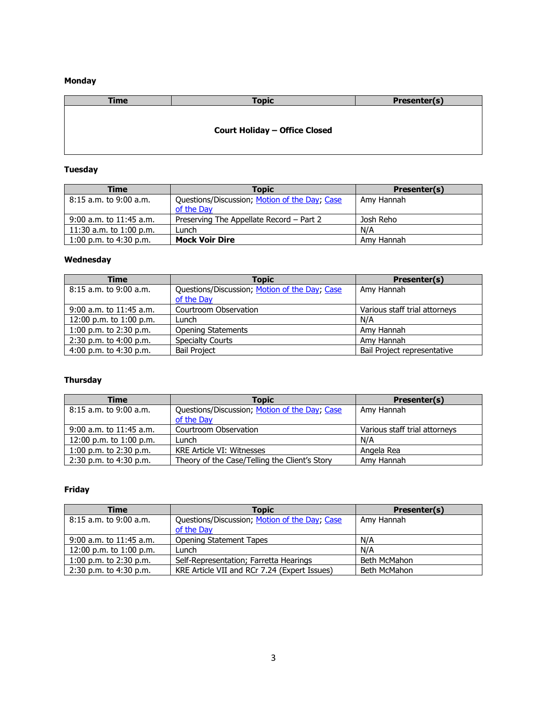| <b>Time</b> | <b>Topic</b>                         | Presenter(s) |
|-------------|--------------------------------------|--------------|
|             |                                      |              |
|             | <b>Court Holiday - Office Closed</b> |              |
|             |                                      |              |

## **Tuesday**

| Time                      | <b>Topic</b>                                  | <b>Presenter(s)</b> |
|---------------------------|-----------------------------------------------|---------------------|
| 8:15 a.m. to 9:00 a.m.    | Questions/Discussion; Motion of the Day; Case | Amy Hannah          |
|                           | of the Day                                    |                     |
| $9:00$ a.m. to 11:45 a.m. | Preserving The Appellate Record – Part 2      | Josh Reho           |
| 11:30 a.m. to 1:00 p.m.   | _unch                                         | N/A                 |
| 1:00 p.m. to $4:30$ p.m.  | <b>Mock Voir Dire</b>                         | Amy Hannah          |

### **Wednesday**

| <b>Time</b>              | <b>Topic</b>                                  | Presenter(s)                  |
|--------------------------|-----------------------------------------------|-------------------------------|
| $8:15$ a.m. to 9:00 a.m. | Questions/Discussion; Motion of the Day; Case | Amy Hannah                    |
|                          | of the Day                                    |                               |
| 9:00 a.m. to 11:45 a.m.  | Courtroom Observation                         | Various staff trial attorneys |
| 12:00 p.m. to 1:00 p.m.  | Lunch                                         | N/A                           |
| 1:00 p.m. to $2:30$ p.m. | <b>Opening Statements</b>                     | Amy Hannah                    |
| 2:30 p.m. to 4:00 p.m.   | <b>Specialty Courts</b>                       | Amy Hannah                    |
| 4:00 p.m. to $4:30$ p.m. | <b>Bail Project</b>                           | Bail Project representative   |

## **Thursday**

| <b>Time</b>                 | <b>Topic</b>                                                | Presenter(s)                  |
|-----------------------------|-------------------------------------------------------------|-------------------------------|
| $8:15$ a.m. to $9:00$ a.m.  | Questions/Discussion; Motion of the Day; Case<br>of the Day | Amy Hannah                    |
| $9:00$ a.m. to $11:45$ a.m. | Courtroom Observation                                       | Various staff trial attorneys |
| 12:00 p.m. to 1:00 p.m.     | Lunch                                                       | N/A                           |
| 1:00 p.m. to $2:30$ p.m.    | <b>KRE Article VI: Witnesses</b>                            | Angela Rea                    |
| 2:30 p.m. to 4:30 p.m.      | Theory of the Case/Telling the Client's Story               | Amy Hannah                    |

| Time                      | <b>Topic</b>                                  | Presenter(s) |
|---------------------------|-----------------------------------------------|--------------|
| $8:15$ a.m. to 9:00 a.m.  | Questions/Discussion; Motion of the Day; Case | Amy Hannah   |
|                           | of the Day                                    |              |
| $9:00$ a.m. to 11:45 a.m. | <b>Opening Statement Tapes</b>                | N/A          |
| 12:00 p.m. to 1:00 p.m.   | Lunch                                         | N/A          |
| 1:00 p.m. to $2:30$ p.m.  | Self-Representation; Farretta Hearings        | Beth McMahon |
| $2:30$ p.m. to 4:30 p.m.  | KRE Article VII and RCr 7.24 (Expert Issues)  | Beth McMahon |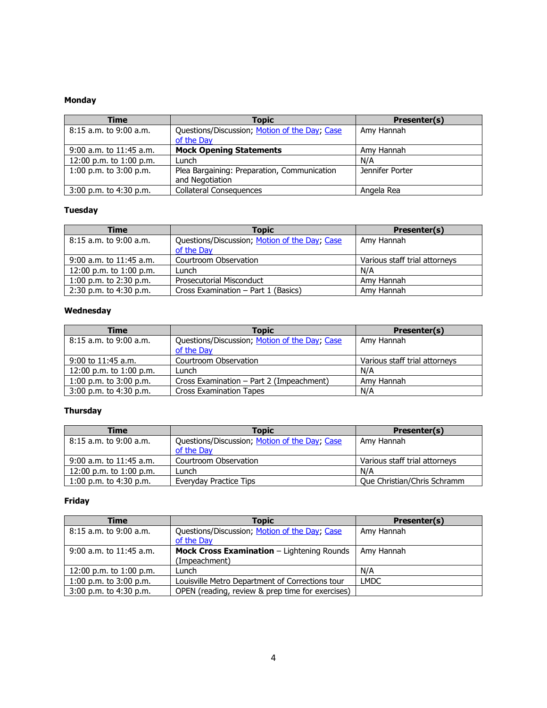| <b>Time</b>                 | <b>Topic</b>                                                   | Presenter(s)    |
|-----------------------------|----------------------------------------------------------------|-----------------|
| $8:15$ a.m. to 9:00 a.m.    | Questions/Discussion; Motion of the Day; Case                  | Amy Hannah      |
|                             | of the Day                                                     |                 |
| $9:00$ a.m. to $11:45$ a.m. | <b>Mock Opening Statements</b>                                 | Amy Hannah      |
| 12:00 p.m. to 1:00 p.m.     | Lunch                                                          | N/A             |
| 1:00 p.m. to $3:00$ p.m.    | Plea Bargaining: Preparation, Communication<br>and Negotiation | Jennifer Porter |
| 3:00 p.m. to 4:30 p.m.      | <b>Collateral Consequences</b>                                 | Angela Rea      |

## **Tuesday**

| Time                      | <b>Topic</b>                                                | Presenter(s)                  |
|---------------------------|-------------------------------------------------------------|-------------------------------|
| $8:15$ a.m. to 9:00 a.m.  | Questions/Discussion; Motion of the Day; Case<br>of the Day | Amy Hannah                    |
| $9:00$ a.m. to 11:45 a.m. | Courtroom Observation                                       | Various staff trial attorneys |
| 12:00 p.m. to 1:00 p.m.   | Lunch                                                       | N/A                           |
| 1:00 p.m. to $2:30$ p.m.  | <b>Prosecutorial Misconduct</b>                             | Amy Hannah                    |
| 2:30 p.m. to 4:30 p.m.    | Cross Examination - Part 1 (Basics)                         | Amy Hannah                    |

### **Wednesday**

| Time                     | Topic                                         | Presenter(s)                  |
|--------------------------|-----------------------------------------------|-------------------------------|
| $8:15$ a.m. to 9:00 a.m. | Questions/Discussion; Motion of the Day; Case | Amy Hannah                    |
|                          | of the Day                                    |                               |
| $9:00$ to 11:45 a.m.     | Courtroom Observation                         | Various staff trial attorneys |
| 12:00 p.m. to 1:00 p.m.  | Lunch                                         | N/A                           |
| 1:00 p.m. to $3:00$ p.m. | Cross Examination - Part 2 (Impeachment)      | Amy Hannah                    |
| $3:00$ p.m. to 4:30 p.m. | <b>Cross Examination Tapes</b>                | N/A                           |

## **Thursday**

| <b>Time</b>                | <b>Topic</b>                                  | <b>Presenter(s)</b>           |
|----------------------------|-----------------------------------------------|-------------------------------|
| $8:15$ a.m. to $9:00$ a.m. | Questions/Discussion; Motion of the Day; Case | Amy Hannah                    |
|                            | of the Day                                    |                               |
| $9:00$ a.m. to 11:45 a.m.  | Courtroom Observation                         | Various staff trial attornevs |
| 12:00 p.m. to $1:00$ p.m.  | Lunch                                         | N/A                           |
| $1:00$ p.m. to $4:30$ p.m. | Everyday Practice Tips                        | Oue Christian/Chris Schramm   |

| Time                        | <b>Topic</b>                                     | Presenter(s) |
|-----------------------------|--------------------------------------------------|--------------|
| $8:15$ a.m. to 9:00 a.m.    | Questions/Discussion; Motion of the Day; Case    | Amy Hannah   |
|                             | of the Day                                       |              |
| $9:00$ a.m. to $11:45$ a.m. | Mock Cross Examination - Lightening Rounds       | Amy Hannah   |
|                             | (Impeachment)                                    |              |
| 12:00 p.m. to 1:00 p.m.     | Lunch                                            | N/A          |
| 1:00 p.m. to $3:00$ p.m.    | Louisville Metro Department of Corrections tour  | <b>LMDC</b>  |
| 3:00 p.m. to 4:30 p.m.      | OPEN (reading, review & prep time for exercises) |              |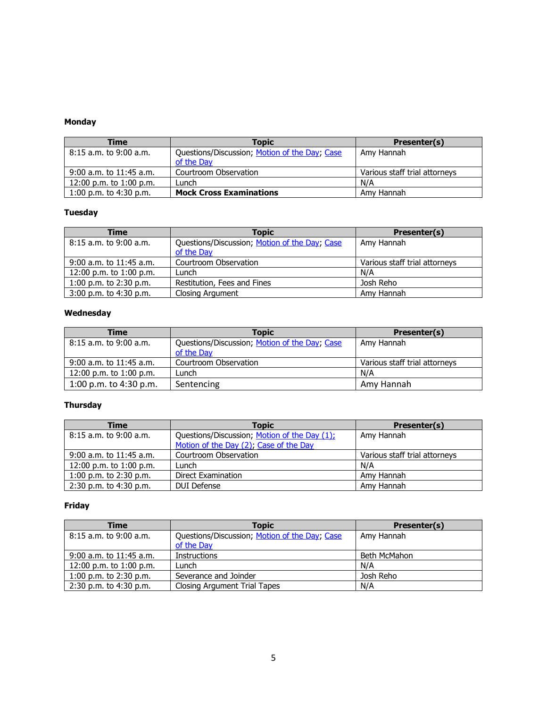| <b>Time</b>                 | <b>Topic</b>                                  | <b>Presenter(s)</b>           |
|-----------------------------|-----------------------------------------------|-------------------------------|
| $8:15$ a.m. to 9:00 a.m.    | Questions/Discussion; Motion of the Day; Case | Amy Hannah                    |
|                             | of the Day                                    |                               |
| $9:00$ a.m. to 11:45 a.m.   | Courtroom Observation                         | Various staff trial attorneys |
| $12:00$ p.m. to $1:00$ p.m. | Lunch                                         | N/A                           |
| 1:00 p.m. to $4:30$ p.m.    | <b>Mock Cross Examinations</b>                | Amy Hannah                    |

### **Tuesday**

| <b>Time</b>                 | <b>Topic</b>                                  | Presenter(s)                  |
|-----------------------------|-----------------------------------------------|-------------------------------|
| $8:15$ a.m. to $9:00$ a.m.  | Questions/Discussion; Motion of the Day; Case | Amy Hannah                    |
|                             | of the Day                                    |                               |
| $9:00$ a.m. to $11:45$ a.m. | Courtroom Observation                         | Various staff trial attorneys |
| 12:00 p.m. to 1:00 p.m.     | Lunch                                         | N/A                           |
| 1:00 p.m. to $2:30$ p.m.    | Restitution, Fees and Fines                   | Josh Reho                     |
| $3:00$ p.m. to 4:30 p.m.    | <b>Closing Argument</b>                       | Amy Hannah                    |

### **Wednesday**

| Time                        | <b>Topic</b>                                                | Presenter(s)                  |
|-----------------------------|-------------------------------------------------------------|-------------------------------|
| $8:15$ a.m. to 9:00 a.m.    | Questions/Discussion; Motion of the Day; Case<br>of the Day | Amy Hannah                    |
| $9:00$ a.m. to $11:45$ a.m. | Courtroom Observation                                       | Various staff trial attorneys |
| 12:00 p.m. to 1:00 p.m.     | _unch                                                       | N/A                           |
| 1:00 p.m. to $4:30$ p.m.    | Sentencing                                                  | Amy Hannah                    |

## **Thursday**

| Time                        | Topic                                        | Presenter(s)                  |
|-----------------------------|----------------------------------------------|-------------------------------|
| $8:15$ a.m. to $9:00$ a.m.  | Questions/Discussion; Motion of the Day (1); | Amy Hannah                    |
|                             | Motion of the Day (2); Case of the Day       |                               |
| $9:00$ a.m. to $11:45$ a.m. | Courtroom Observation                        | Various staff trial attorneys |
| 12:00 p.m. to 1:00 p.m.     | Lunch                                        | N/A                           |
| 1:00 p.m. to $2:30$ p.m.    | Direct Examination                           | Amy Hannah                    |
| $2:30$ p.m. to 4:30 p.m.    | <b>DUI Defense</b>                           | Amy Hannah                    |

| <b>Time</b>                | <b>Topic</b>                                                | Presenter(s) |
|----------------------------|-------------------------------------------------------------|--------------|
| $8:15$ a.m. to $9:00$ a.m. | Questions/Discussion; Motion of the Day; Case<br>of the Day | Amy Hannah   |
| $9:00$ a.m. to 11:45 a.m.  | <b>Instructions</b>                                         | Beth McMahon |
| 12:00 p.m. to 1:00 p.m.    | Lunch                                                       | N/A          |
| 1:00 p.m. to $2:30$ p.m.   | Severance and Joinder                                       | Josh Reho    |
| $2:30$ p.m. to $4:30$ p.m. | Closing Argument Trial Tapes                                | N/A          |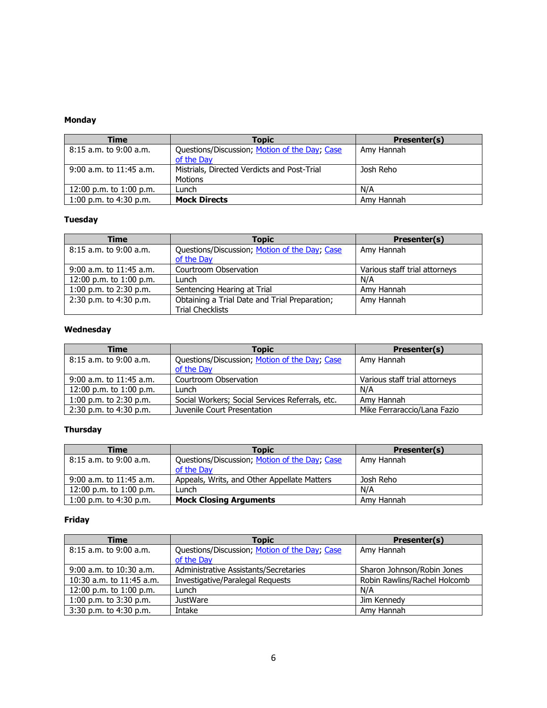| Time                        | Topic                                         | Presenter(s) |
|-----------------------------|-----------------------------------------------|--------------|
| 8:15 a.m. to 9:00 a.m.      | Questions/Discussion; Motion of the Day; Case | Amy Hannah   |
|                             | of the Day                                    |              |
| $9:00$ a.m. to $11:45$ a.m. | Mistrials, Directed Verdicts and Post-Trial   | Josh Reho    |
|                             | Motions                                       |              |
| 12:00 p.m. to 1:00 p.m.     | _unch                                         | N/A          |
| 1:00 p.m. to $4:30$ p.m.    | <b>Mock Directs</b>                           | Amy Hannah   |

## **Tuesday**

| <b>Time</b>                 | Topic                                                                    | Presenter(s)                  |
|-----------------------------|--------------------------------------------------------------------------|-------------------------------|
| $8:15$ a.m. to 9:00 a.m.    | Questions/Discussion; Motion of the Day; Case<br>of the Day              | Amy Hannah                    |
| $9:00$ a.m. to $11:45$ a.m. | Courtroom Observation                                                    | Various staff trial attorneys |
| 12:00 p.m. to 1:00 p.m.     | Lunch                                                                    | N/A                           |
| 1:00 p.m. to $2:30$ p.m.    | Sentencing Hearing at Trial                                              | Amy Hannah                    |
| 2:30 p.m. to 4:30 p.m.      | Obtaining a Trial Date and Trial Preparation;<br><b>Trial Checklists</b> | Amy Hannah                    |

### **Wednesday**

| <b>Time</b>                 | <b>Topic</b>                                                | Presenter(s)                  |
|-----------------------------|-------------------------------------------------------------|-------------------------------|
| $8:15$ a.m. to 9:00 a.m.    | Questions/Discussion; Motion of the Day; Case<br>of the Day | Amy Hannah                    |
| $9:00$ a.m. to $11:45$ a.m. | Courtroom Observation                                       | Various staff trial attorneys |
| 12:00 p.m. to 1:00 p.m.     | Lunch                                                       | N/A                           |
| 1:00 p.m. to $2:30$ p.m.    | Social Workers; Social Services Referrals, etc.             | Amy Hannah                    |
| 2:30 p.m. to 4:30 p.m.      | Juvenile Court Presentation                                 | Mike Ferraraccio/Lana Fazio   |

## **Thursday**

| <b>Time</b>               | <b>Topic</b>                                  | Presenter(s) |
|---------------------------|-----------------------------------------------|--------------|
| 8:15 a.m. to 9:00 a.m.    | Questions/Discussion; Motion of the Day; Case | Amy Hannah   |
|                           | of the Day                                    |              |
| $9:00$ a.m. to 11:45 a.m. | Appeals, Writs, and Other Appellate Matters   | Josh Reho    |
| 12:00 p.m. to 1:00 p.m.   | Lunch                                         | N/A          |
| 1:00 p.m. to $4:30$ p.m.  | <b>Mock Closing Arguments</b>                 | Amy Hannah   |

| Time                        | <b>Topic</b>                                  | Presenter(s)                 |
|-----------------------------|-----------------------------------------------|------------------------------|
| 8:15 a.m. to 9:00 a.m.      | Questions/Discussion; Motion of the Day; Case | Amy Hannah                   |
|                             | of the Day                                    |                              |
| $9:00$ a.m. to $10:30$ a.m. | Administrative Assistants/Secretaries         | Sharon Johnson/Robin Jones   |
| 10:30 a.m. to $11:45$ a.m.  | Investigative/Paralegal Requests              | Robin Rawlins/Rachel Holcomb |
| 12:00 p.m. to 1:00 p.m.     | Lunch                                         | N/A                          |
| 1:00 p.m. to 3:30 p.m.      | <b>JustWare</b>                               | Jim Kennedy                  |
| $3:30$ p.m. to $4:30$ p.m.  | Intake                                        | Amy Hannah                   |